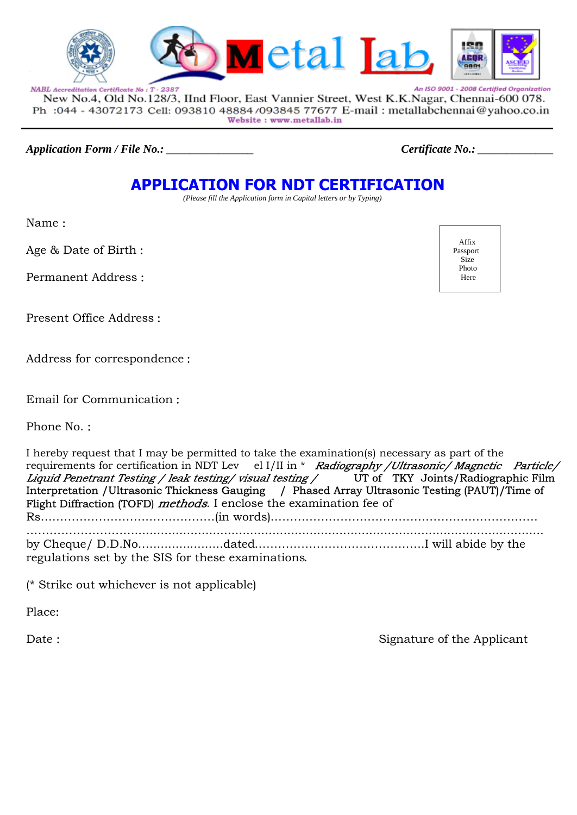



An ISO 9001 - 2008 Certified Organization NABL Accreditation Certificate No: T - 2387 New No.4, Old No.128/3, IInd Floor, East Vannier Street, West K.K.Nagar, Chennai-600 078. Ph : 044 - 43072173 Cell: 093810 48884/093845 77677 E-mail : metallabchennai@yahoo.co.in Website: www.metallab.in

*Application Form / File No.: \_\_\_\_\_\_\_\_\_\_\_\_\_\_\_ Certificate No.: \_\_\_\_\_\_\_\_\_\_\_\_\_*

# **APPLICATION FOR NDT CERTIFICATION**

 *(Please fill the Application form in Capital letters or by Typing)*

Name :

Age & Date of Birth :

Permanent Address :

Present Office Address :

Address for correspondence :

Email for Communication :

Phone No. :

I hereby request that I may be permitted to take the examination(s) necessary as part of the requirements for certification in NDT Lev el I/II in \* Radiography / Ultrasonic/ Magnetic Particle/ Liquid Penetrant Testing / leak testing / visual testing / UT of TKY Joints/Radiographic Film Interpretation /Ultrasonic Thickness Gauging / Phased Array Ultrasonic Testing (PAUT)/Time of Flight Diffraction (TOFD) *methods*. I enclose the examination fee of Rs………………………………………(in words)…………………………………………………………… ………………………............................................................................................................... by Cheque/ D.D.No…....................dated……………………………………..I will abide by the regulations set by the SIS for these examinations.

(\* Strike out whichever is not applicable)

Place:

Date : Signature of the Applicant

 Affix Passport Size Photo Here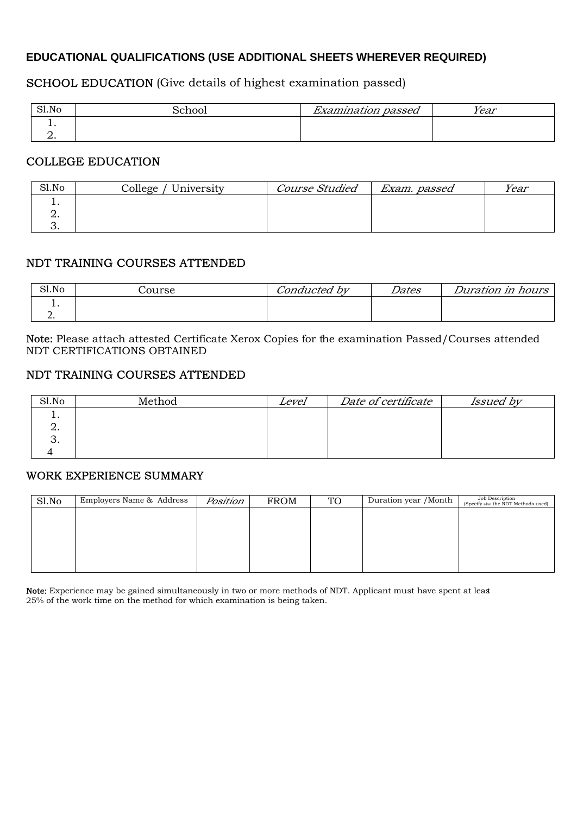#### **EDUCATIONAL QUALIFICATIONS (USE ADDITIONAL SHEETS WHEREVER REQUIRED)**

# SCHOOL EDUCATION (Give details of highest examination passed)

| Sl.No | $\sim$ | $\mathbf{r}$<br>passed<br>umiauon | Year |
|-------|--------|-----------------------------------|------|
| . .   |        |                                   |      |
| ⊸     |        |                                   |      |

#### COLLEGE EDUCATION

| Sl.No | / University<br>College | <b>Course Studied</b> | Exam. passed | Year |
|-------|-------------------------|-----------------------|--------------|------|
|       |                         |                       |              |      |
|       |                         |                       |              |      |
| J.    |                         |                       |              |      |

#### NDT TRAINING COURSES ATTENDED

| Sl.No    | Course | Conducted by | Dates | Duration in hours |
|----------|--------|--------------|-------|-------------------|
| . .      |        |              |       |                   |
| <u>.</u> |        |              |       |                   |

Note: Please attach attested Certificate Xerox Copies for the examination Passed/Courses attended NDT CERTIFICATIONS OBTAINED

## NDT TRAINING COURSES ATTENDED

| Sl.No | Method | Level | Date of certificate | <i>Issued by</i> |
|-------|--------|-------|---------------------|------------------|
| . .   |        |       |                     |                  |
| ∠.    |        |       |                     |                  |
| J.    |        |       |                     |                  |
|       |        |       |                     |                  |

#### WORK EXPERIENCE SUMMARY

| Sl.No | Employers Name & Address | Position | <b>FROM</b> | <b>TO</b> | Duration year / Month | Job Description<br>(Specify also the NDT Methods used) |
|-------|--------------------------|----------|-------------|-----------|-----------------------|--------------------------------------------------------|
|       |                          |          |             |           |                       |                                                        |
|       |                          |          |             |           |                       |                                                        |
|       |                          |          |             |           |                       |                                                        |
|       |                          |          |             |           |                       |                                                        |
|       |                          |          |             |           |                       |                                                        |
|       |                          |          |             |           |                       |                                                        |

Note: Experience may be gained simultaneously in two or more methods of NDT. Applicant must have spent at least 25% of the work time on the method for which examination is being taken.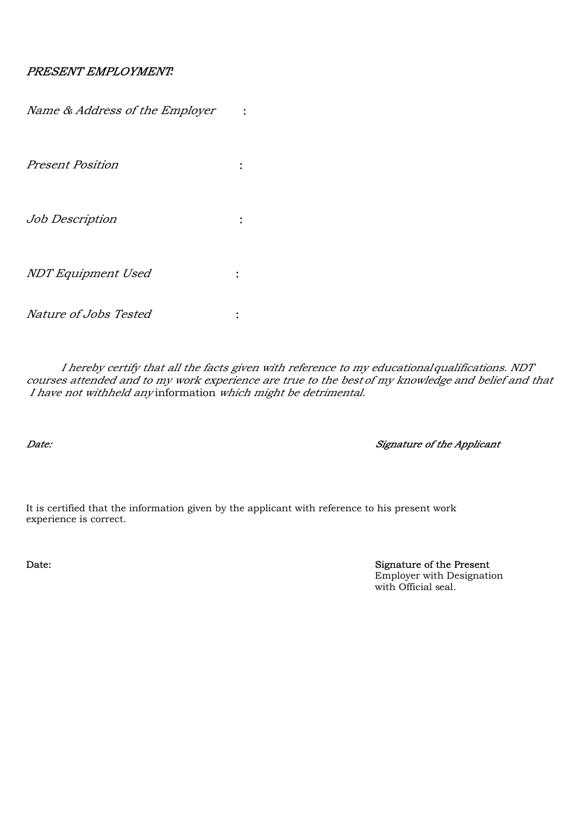#### PRESENT EMPLOYMENT*:*

| Name & Address of the Employer |  |
|--------------------------------|--|
| <b>Present Position</b>        |  |
| Job Description                |  |
| NDT Equipment Used             |  |
| Nature of Jobs Tested          |  |

I hereby certify that all the facts given with reference to my educationalqualifications. NDT courses attended and to my work experience are true to the best of my knowledge and belief and that I have not withheld any information which might be detrimental.

Date: Signature of the Applicant

It is certified that the information given by the applicant with reference to his present work experience is correct.

Date: Signature of the Present Employer with Designation with Official seal.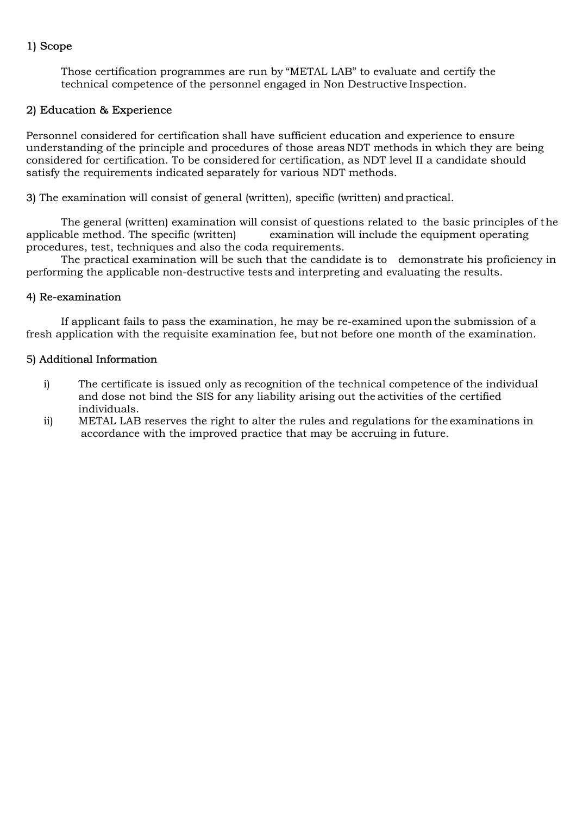## 1) Scope

Those certification programmes are run by "METAL LAB" to evaluate and certify the technical competence of the personnel engaged in Non Destructive Inspection.

#### 2) Education & Experience

Personnel considered for certification shall have sufficient education and experience to ensure understanding of the principle and procedures of those areas NDT methods in which they are being considered for certification. To be considered for certification, as NDT level II a candidate should satisfy the requirements indicated separately for various NDT methods.

3) The examination will consist of general (written), specific (written) andpractical.

The general (written) examination will consist of questions related to the basic principles of the applicable method. The specific (written) examination will include the equipment operating procedures, test, techniques and also the coda requirements.

The practical examination will be such that the candidate is to demonstrate his proficiency in performing the applicable non-destructive tests and interpreting and evaluating the results.

#### 4) Re-examination

If applicant fails to pass the examination, he may be re-examined uponthe submission of a fresh application with the requisite examination fee, but not before one month of the examination.

#### 5) Additional Information

- i) The certificate is issued only as recognition of the technical competence of the individual and dose not bind the SIS for any liability arising out the activities of the certified individuals.
- ii) METAL LAB reserves the right to alter the rules and regulations for the examinations in accordance with the improved practice that may be accruing in future.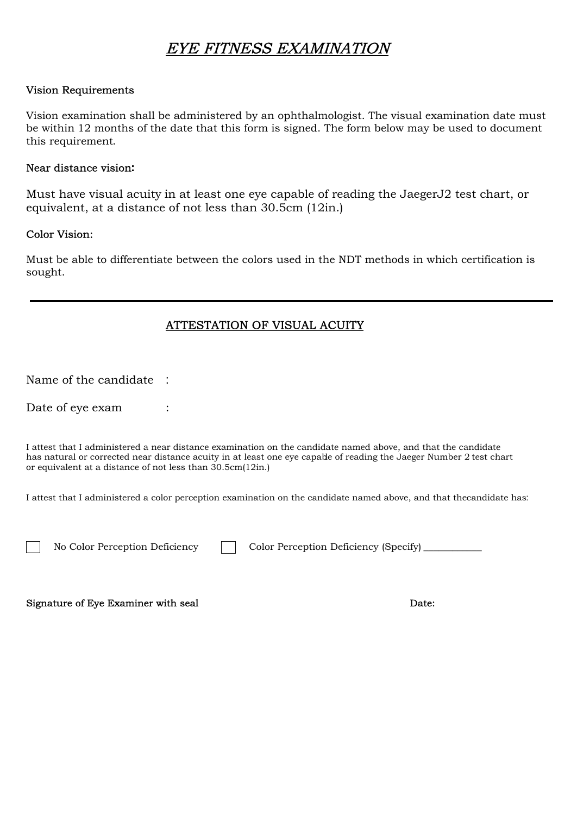# EYE FITNESS EXAMINATION

#### Vision Requirements

Vision examination shall be administered by an ophthalmologist. The visual examination date must be within 12 months of the date that this form is signed. The form below may be used to document this requirement.

#### Near distance vision**:**

Must have visual acuity in at least one eye capable of reading the JaegerJ2 test chart, or equivalent, at a distance of not less than 30.5cm (12in.)

#### Color Vision:

Must be able to differentiate between the colors used in the NDT methods in which certification is sought.

## ATTESTATION OF VISUAL ACUITY

Name of the candidate :

Date of eye exam :

I attest that I administered a near distance examination on the candidate named above, and that the candidate has natural or corrected near distance acuity in at least one eye capable of reading the Jaeger Number 2 test chart or equivalent at a distance of not less than 30.5cm(12in.)

I attest that I administered a color perception examination on the candidate named above, and that the candidate has:

No Color Perception Deficiency  $\Box$  Color Perception Deficiency (Specify)  $\Box$ 

Signature of Eye Examiner with seal **Date:** Date: